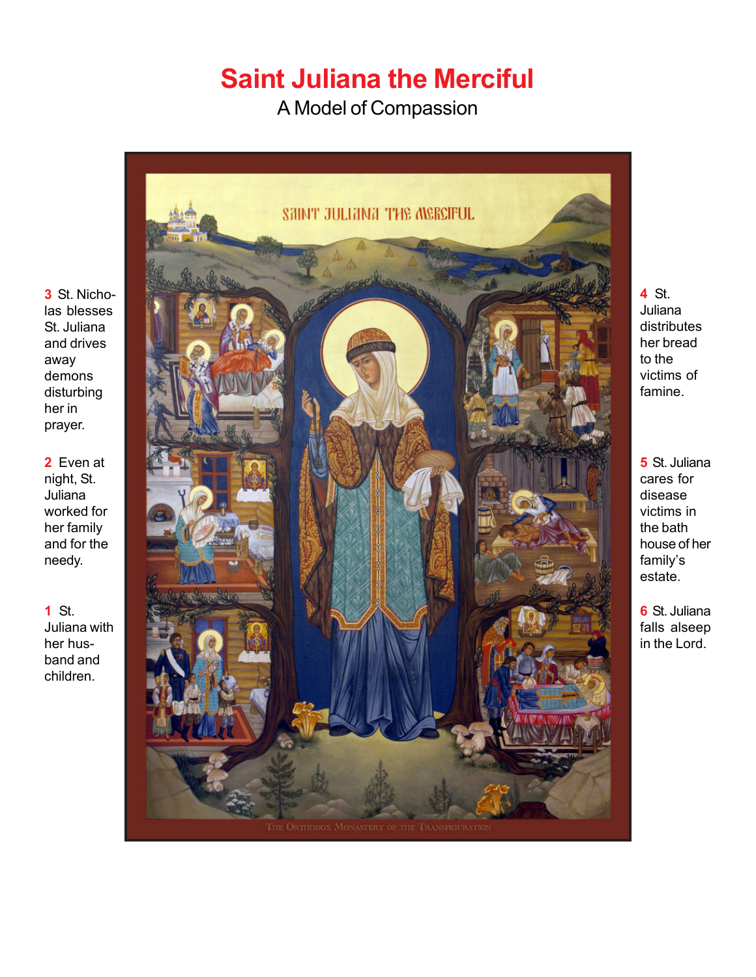## **Saint Juliana the Merciful**

A Model of Compassion



**4** St. Juliana distributes her bread to the victims of famine.

**5** St. Juliana cares for disease victims in the bath house of her family's estate.

**6** St. Juliana falls alseep in the Lord.

**3** St. Nicholas blesses St. Juliana and drives away demons disturbing her in prayer.

**2** Even at night, St. Juliana worked for her family and for the needy.

**1** St. Juliana with her husband and children.